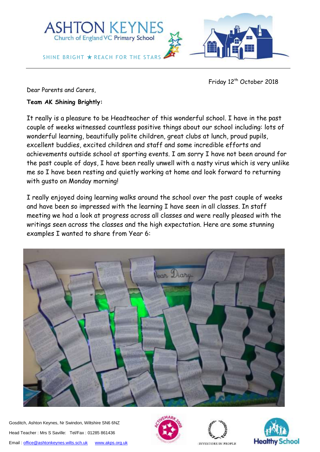

Friday 12<sup>th</sup> October 2018

Dear Parents and Carers,

**Team AK Shining Brightly:** 

It really is a pleasure to be Headteacher of this wonderful school. I have in the past couple of weeks witnessed countless positive things about our school including: lots of wonderful learning, beautifully polite children, great clubs at lunch, proud pupils, excellent buddies, excited children and staff and some incredible efforts and achievements outside school at sporting events. I am sorry I have not been around for the past couple of days, I have been really unwell with a nasty virus which is very unlike me so I have been resting and quietly working at home and look forward to returning with gusto on Monday morning!

I really enjoyed doing learning walks around the school over the past couple of weeks and have been so impressed with the learning I have seen in all classes. In staff meeting we had a look at progress across all classes and were really pleased with the writings seen across the classes and the high expectation. Here are some stunning examples I wanted to share from Year 6:



Gosditch, Ashton Keynes, Nr Swindon, Wiltshire SN6 6NZ Head Teacher : Mrs S Saville: Tel/Fax : 01285 861436 Email[: office@ashtonkeynes.wilts.sch.uk](mailto:office@ashtonkeynes.wilts.sch.uk) [www.akps.org.uk](http://www.akps.org.uk/)





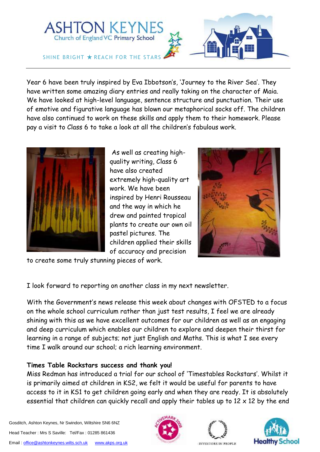

Year 6 have been truly inspired by Eva Ibbotson's, 'Journey to the River Sea'. They have written some amazing diary entries and really taking on the character of Maia. We have looked at high-level language, sentence structure and punctuation. Their use of emotive and figurative language has blown our metaphorical socks off. The children have also continued to work on these skills and apply them to their homework. Please pay a visit to Class 6 to take a look at all the children's fabulous work.



As well as creating highquality writing, Class 6 have also created extremely high-quality art work. We have been inspired by Henri Rousseau and the way in which he drew and painted tropical plants to create our own oil pastel pictures. The children applied their skills of accuracy and precision



to create some truly stunning pieces of work.

I look forward to reporting on another class in my next newsletter.

With the Government's news release this week about changes with OFSTED to a focus on the whole school curriculum rather than just test results, I feel we are already shining with this as we have excellent outcomes for our children as well as an engaging and deep curriculum which enables our children to explore and deepen their thirst for learning in a range of subjects; not just English and Maths. This is what I see every time I walk around our school; a rich learning environment.

# **Times Table Rockstars success and thank you!**

Miss Redman has introduced a trial for our school of 'Timestables Rockstars'. Whilst it is primarily aimed at children in KS2, we felt it would be useful for parents to have access to it in KS1 to get children going early and when they are ready. It is absolutely essential that children can quickly recall and apply their tables up to  $12 \times 12$  by the end

Gosditch, Ashton Keynes, Nr Swindon, Wiltshire SN6 6NZ Head Teacher : Mrs S Saville: Tel/Fax : 01285 861436 Email[: office@ashtonkeynes.wilts.sch.uk](mailto:office@ashtonkeynes.wilts.sch.uk) [www.akps.org.uk](http://www.akps.org.uk/)





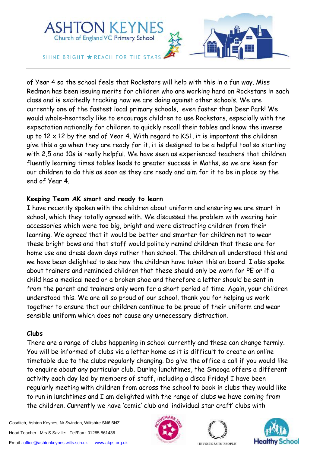

of Year 4 so the school feels that Rockstars will help with this in a fun way. Miss Redman has been issuing merits for children who are working hard on Rockstars in each class and is excitedly tracking how we are doing against other schools. We are currently one of the fastest local primary schools, even faster than Deer Park! We would whole-heartedly like to encourage children to use Rockstars, especially with the expectation nationally for children to quickly recall their tables and know the inverse up to  $12 \times 12$  by the end of Year 4. With regard to KS1, it is important the children give this a go when they are ready for it, it is designed to be a helpful tool so starting with 2,5 and 10s is really helpful. We have seen as experienced teachers that children fluently learning times tables leads to greater success in Maths, so we are keen for our children to do this as soon as they are ready and aim for it to be in place by the end of Year 4.

### **Keeping Team AK smart and ready to learn**

I have recently spoken with the children about uniform and ensuring we are smart in school, which they totally agreed with. We discussed the problem with wearing hair accessories which were too big, bright and were distracting children from their learning. We agreed that it would be better and smarter for children not to wear these bright bows and that staff would politely remind children that these are for home use and dress down days rather than school. The children all understood this and we have been delighted to see how the children have taken this on board. I also spoke about trainers and reminded children that these should only be worn for PE or if a child has a medical need or a broken shoe and therefore a letter should be sent in from the parent and trainers only worn for a short period of time. Again, your children understood this. We are all so proud of our school, thank you for helping us work together to ensure that our children continue to be proud of their uniform and wear sensible uniform which does not cause any unnecessary distraction.

### **Clubs**

There are a range of clubs happening in school currently and these can change termly. You will be informed of clubs via a letter home as it is difficult to create an online timetable due to the clubs regularly changing. Do give the office a call if you would like to enquire about any particular club. During lunchtimes, the Smooga offers a different activity each day led by members of staff, including a disco Friday! I have been regularly meeting with children from across the school to book in clubs they would like to run in lunchtimes and I am delighted with the range of clubs we have coming from the children. Currently we have 'comic' club and 'individual star craft' clubs with

Gosditch, Ashton Keynes, Nr Swindon, Wiltshire SN6 6NZ Head Teacher : Mrs S Saville: Tel/Fax : 01285 861436 Email[: office@ashtonkeynes.wilts.sch.uk](mailto:office@ashtonkeynes.wilts.sch.uk) [www.akps.org.uk](http://www.akps.org.uk/)





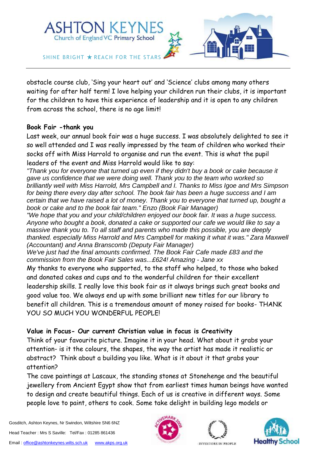

obstacle course club, 'Sing your heart out' and 'Science' clubs among many others waiting for after half term! I love helping your children run their clubs, it is important for the children to have this experience of leadership and it is open to any children from across the school, there is no age limit!

### **Book Fair -thank you**

Last week, our annual book fair was a huge success. I was absolutely delighted to see it so well attended and I was really impressed by the team of children who worked their socks off with Miss Harrold to organise and run the event. This is what the pupil leaders of the event and Miss Harrold would like to say:

*"Thank you for everyone that turned up even if they didn't buy a book or cake because it gave us confidence that we were doing well. Thank you to the team who worked so brilliantly well with Miss Harrold, Mrs Campbell and I. Thanks to Miss Igoe and Mrs Simpson for being there every day after school. The book fair has been a huge success and I am certain that we have raised a lot of money. Thank you to everyone that turned up, bought a book or cake and to the book fair team." Enzo (Book Fair Manager)*

*"We hope that you and your child/children enjoyed our book fair. It was a huge success. Anyone who bought a book, donated a cake or supported our cafe we would like to say a massive thank you to. To all staff and parents who made this possible, you are deeply thanked. especially Miss Harrold and Mrs Campbell for making it what it was." Zara Maxwell (Accountant) and Anna Branscomb (Deputy Fair Manager)*

*We've just had the final amounts confirmed. The Book Fair Cafe made £83 and the commission from the Book Fair Sales was...£624! Amazing - Jane xx*

My thanks to everyone who supported, to the staff who helped, to those who baked and donated cakes and cups and to the wonderful children for their excellent leadership skills. I really love this book fair as it always brings such great books and good value too. We always end up with some brilliant new titles for our library to benefit all children. This is a tremendous amount of money raised for books- THANK YOU SO MUCH YOU WONDERFUL PEOPLE!

# **Value in Focus- Our current Christian value in focus is Creativity**

Think of your favourite picture. Imagine it in your head. What about it grabs your attention- is it the colours, the shapes, the way the artist has made it realistic or abstract? Think about a building you like. What is it about it that grabs your attention?

The cave paintings at Lascaux, the standing stones at Stonehenge and the beautiful jewellery from Ancient Egypt show that from earliest times human beings have wanted to design and create beautiful things. Each of us is creative in different ways. Some people love to paint, others to cook. Some take delight in building lego models or





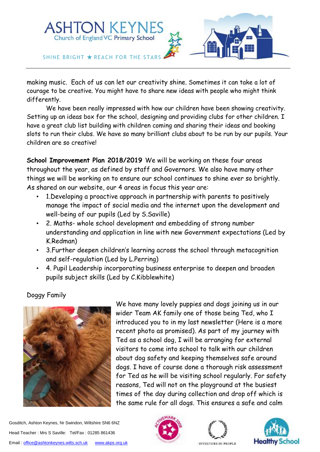

making music. Each of us can let our creativity shine. Sometimes it can take a lot of courage to be creative. You might have to share new ideas with people who might think differently.

We have been really impressed with how our children have been showing creativity. Setting up an ideas box for the school, designing and providing clubs for other children. I have a great club list building with children coming and sharing their ideas and booking slots to run their clubs. We have so many brilliant clubs about to be run by our pupils. Your children are so creative!

**School Improvement Plan 2018/2019** We will be working on these four areas throughout the year, as defined by staff and Governors. We also have many other things we will be working on to ensure our school continues to shine ever so brightly. As shared on our website, our 4 areas in focus this year are:

- 1.Developing a proactive approach in partnership with parents to positively manage the impact of social media and the internet upon the development and well-being of our pupils (Led by S.Saville)
- 2. Maths- whole school development and embedding of strong number understanding and application in line with new Government expectations (Led by K.Redman)
- 3.Further deepen children's learning across the school through metacognition and self-regulation (Led by L.Perring)
- 4. Pupil Leadership incorporating business enterprise to deepen and broaden pupils subject skills (Led by C.Kibblewhite)

# Doggy Family



We have many lovely puppies and dogs joining us in our wider Team AK family one of those being Ted, who I introduced you to in my last newsletter (Here is a more recent photo as promised). As part of my journey with Ted as a school dog, I will be arranging for external visitors to come into school to talk with our children about dog safety and keeping themselves safe around dogs. I have of course done a thorough risk assessment for Ted as he will be visiting school regularly. For safety reasons, Ted will not on the playground at the busiest times of the day during collection and drop off which is the same rule for all dogs. This ensures a safe and calm





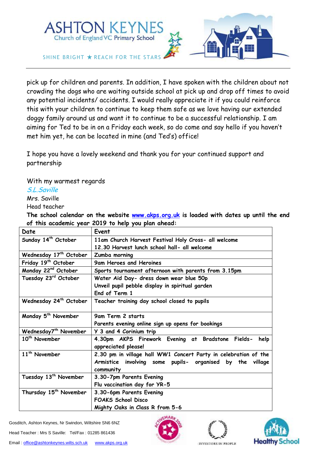

pick up for children and parents. In addition, I have spoken with the children about not crowding the dogs who are waiting outside school at pick up and drop off times to avoid any potential incidents/ accidents. I would really appreciate it if you could reinforce this with your children to continue to keep them safe as we love having our extended doggy family around us and want it to continue to be a successful relationship. I am aiming for Ted to be in on a Friday each week, so do come and say hello if you haven't met him yet, he can be located in mine (and Ted's) office!

I hope you have a lovely weekend and thank you for your continued support and partnership

With my warmest regards

### S.L.Saville

Mrs. Saville

Head teacher

**The school calendar on the website [www.akps.org.uk](http://www.akps.org.uk/) is loaded with dates up until the end of this academic year 2019 to help you plan ahead:**

| Date                               | Event                                                                         |
|------------------------------------|-------------------------------------------------------------------------------|
| Sunday 14 <sup>th</sup> October    | 11am Church Harvest Festival Holy Cross- all welcome                          |
|                                    | 12.30 Harvest lunch school hall- all welcome                                  |
| Wednesday 17 <sup>th</sup> October | Zumba morning                                                                 |
| Friday 19 <sup>th</sup> October    | 9am Heroes and Heroines                                                       |
| Monday 22 <sup>nd</sup> October    | Sports tournament afternoon with parents from 3.15pm                          |
| Tuesday 23rd October               | Water Aid Day- dress down wear blue 50p                                       |
|                                    | Unveil pupil pebble display in spiritual garden                               |
|                                    | End of Term 1                                                                 |
| Wednesday 24 <sup>th</sup> October | Teacher training day school closed to pupils                                  |
| Monday 5 <sup>th</sup> November    | 9am Term 2 starts                                                             |
|                                    | Parents evening online sign up opens for bookings                             |
| Wednesday7 <sup>th</sup> November  | Y 3 and 4 Corinium trip                                                       |
| 10 <sup>th</sup> November          | 4.30pm AKPS Firework Evening at Bradstone Fields- help<br>appreciated please! |
| 11 <sup>th</sup> November          | 2.30 pm in village hall WW1 Concert Party in celebration of the               |
|                                    | Armistice involving some pupils- organised by the village                     |
|                                    | community                                                                     |
| Tuesday 13 <sup>th</sup> November  | 3.30-7pm Parents Evening                                                      |
|                                    | Flu vaccination day for YR-5                                                  |
| Thursday 15 <sup>th</sup> November | 3.30-6pm Parents Evening                                                      |
|                                    | <b>FOAKS School Disco</b>                                                     |
|                                    | Mighty Oaks in Class R from 5-6                                               |

Gosditch, Ashton Keynes, Nr Swindon, Wiltshire SN6 6NZ

Head Teacher : Mrs S Saville: Tel/Fax : 01285 861436





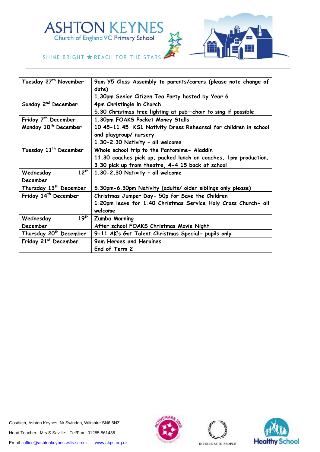



#### SHINE BRIGHT  $\star$  REACH FOR THE STARS

| Tuesday 27 <sup>th</sup> November  | 9am Y5 Class Assembly to parents/carers (please note change of  |
|------------------------------------|-----------------------------------------------------------------|
|                                    | date)                                                           |
|                                    | 1.30pm Senior Citizen Tea Party hosted by Year 6                |
| Sunday 2 <sup>nd</sup> December    | 4pm Christingle in Church                                       |
|                                    | 5.30 Christmas tree lighting at pub-choir to sing if possible   |
| Friday 7 <sup>th</sup> December    | 1.30pm FOAKS Pocket Money Stalls                                |
| Monday 10 <sup>th</sup> December   | 10.45-11.45 KS1 Nativity Dress Rehearsal for children in school |
|                                    | and playgroup/ nursery                                          |
|                                    | 1.30-2.30 Nativity - all welcome                                |
| Tuesday 11 <sup>th</sup> December  | Whole school trip to the Pantomime- Aladdin                     |
|                                    | 11.30 coaches pick up, packed lunch on coaches, 1pm production, |
|                                    | 3.30 pick up from theatre, 4-4.15 back at school                |
| $12^{th}$<br>Wednesday             | 1.30-2.30 Nativity - all welcome                                |
| December                           |                                                                 |
| Thursday 13 <sup>th</sup> December | 5.30pm-6.30pm Nativity (adults/ older siblings only please)     |
| Friday 14 <sup>th</sup> December   | Christmas Jumper Day- 50p for Save the Children                 |
|                                    | 1.20pm leave for 1.40 Christmas Service Holy Cross Church- all  |
|                                    | welcome                                                         |
| $19^{th}$<br>Wednesday             | Zumba Morning                                                   |
| December                           | After school FOAKS Christmas Movie Night                        |
| Thursday 20 <sup>th</sup> December | 9-11 AK's Got Talent Christmas Special- pupils only             |
| Friday 21st December               | 9am Heroes and Heroines                                         |
|                                    | End of Term 2                                                   |
|                                    |                                                                 |

Gosditch, Ashton Keynes, Nr Swindon, Wiltshire SN6 6NZ Head Teacher : Mrs S Saville: Tel/Fax : 01285 861436 Email[: office@ashtonkeynes.wilts.sch.uk](mailto:office@ashtonkeynes.wilts.sch.uk) [www.akps.org.uk](http://www.akps.org.uk/)